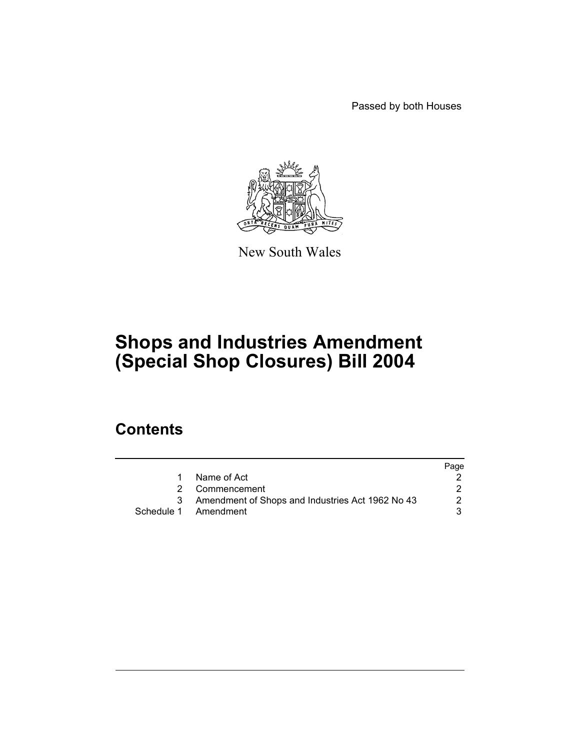Passed by both Houses



New South Wales

# **Shops and Industries Amendment (Special Shop Closures) Bill 2004**

# **Contents**

|                                                  | Page                                   |
|--------------------------------------------------|----------------------------------------|
| Name of Act                                      |                                        |
|                                                  |                                        |
| Amendment of Shops and Industries Act 1962 No 43 |                                        |
|                                                  |                                        |
|                                                  | 2 Commencement<br>Schedule 1 Amendment |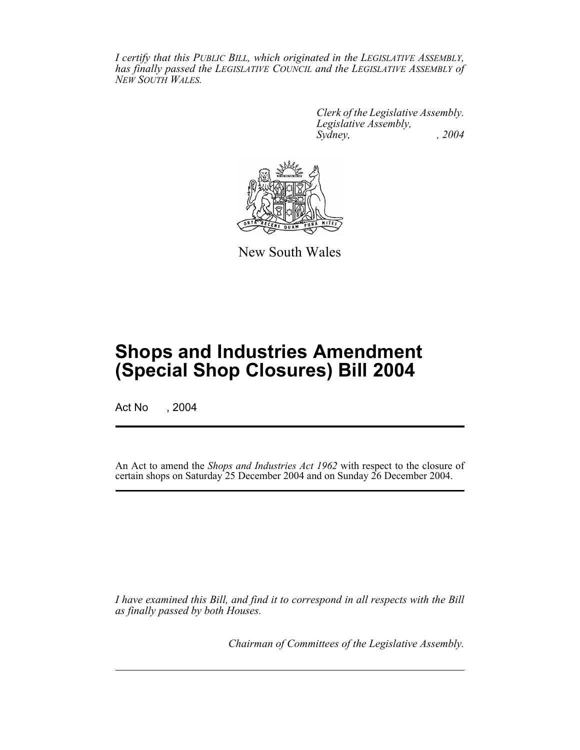*I certify that this PUBLIC BILL, which originated in the LEGISLATIVE ASSEMBLY, has finally passed the LEGISLATIVE COUNCIL and the LEGISLATIVE ASSEMBLY of NEW SOUTH WALES.*

> *Clerk of the Legislative Assembly. Legislative Assembly, Sydney, , 2004*



New South Wales

# **Shops and Industries Amendment (Special Shop Closures) Bill 2004**

Act No , 2004

An Act to amend the *Shops and Industries Act 1962* with respect to the closure of certain shops on Saturday 25 December 2004 and on Sunday 26 December 2004.

*I have examined this Bill, and find it to correspond in all respects with the Bill as finally passed by both Houses.*

*Chairman of Committees of the Legislative Assembly.*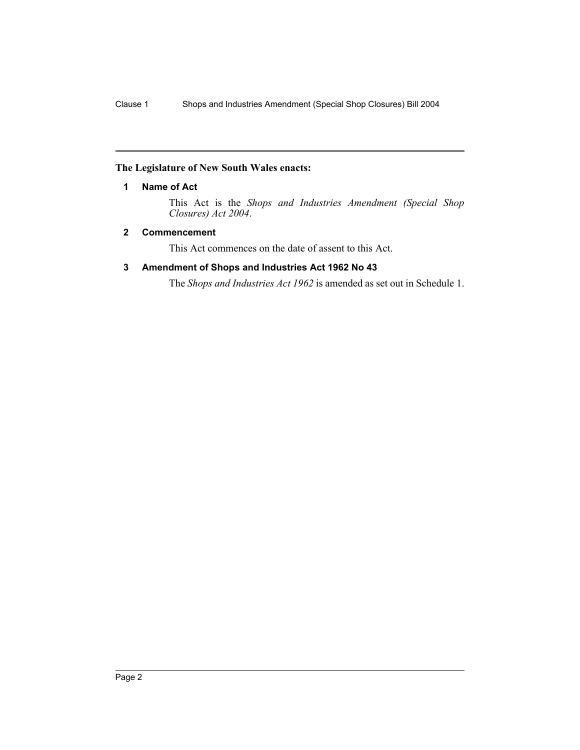### **The Legislature of New South Wales enacts:**

### **1 Name of Act**

This Act is the *Shops and Industries Amendment (Special Shop Closures) Act 2004*.

#### **2 Commencement**

This Act commences on the date of assent to this Act.

### **3 Amendment of Shops and Industries Act 1962 No 43**

The *Shops and Industries Act 1962* is amended as set out in Schedule 1.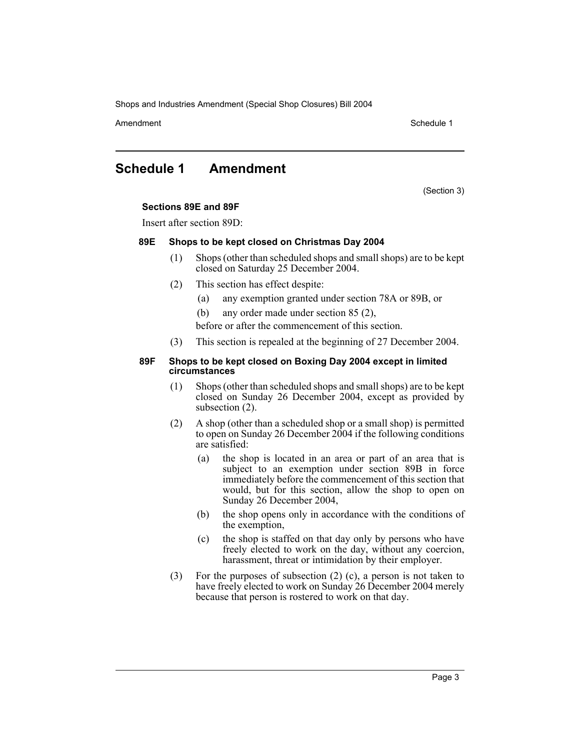Shops and Industries Amendment (Special Shop Closures) Bill 2004

Amendment **Amendment** Schedule 1

## **Schedule 1 Amendment**

(Section 3)

#### **Sections 89E and 89F**

Insert after section 89D:

#### **89E Shops to be kept closed on Christmas Day 2004**

- (1) Shops (other than scheduled shops and small shops) are to be kept closed on Saturday 25 December 2004.
- (2) This section has effect despite:
	- (a) any exemption granted under section 78A or 89B, or
	- (b) any order made under section 85 (2),
	- before or after the commencement of this section.
- (3) This section is repealed at the beginning of 27 December 2004.

#### **89F Shops to be kept closed on Boxing Day 2004 except in limited circumstances**

- (1) Shops (other than scheduled shops and small shops) are to be kept closed on Sunday 26 December 2004, except as provided by subsection (2).
- (2) A shop (other than a scheduled shop or a small shop) is permitted to open on Sunday 26 December 2004 if the following conditions are satisfied:
	- (a) the shop is located in an area or part of an area that is subject to an exemption under section 89B in force immediately before the commencement of this section that would, but for this section, allow the shop to open on Sunday 26 December 2004,
	- (b) the shop opens only in accordance with the conditions of the exemption,
	- (c) the shop is staffed on that day only by persons who have freely elected to work on the day, without any coercion, harassment, threat or intimidation by their employer.
- (3) For the purposes of subsection (2) (c), a person is not taken to have freely elected to work on Sunday 26 December 2004 merely because that person is rostered to work on that day.